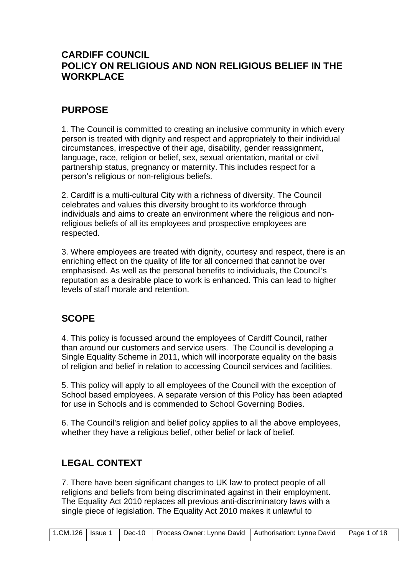## **CARDIFF COUNCIL POLICY ON RELIGIOUS AND NON RELIGIOUS BELIEF IN THE WORKPLACE**

## **PURPOSE**

1. The Council is committed to creating an inclusive community in which every person is treated with dignity and respect and appropriately to their individual circumstances, irrespective of their age, disability, gender reassignment, language, race, religion or belief, sex, sexual orientation, marital or civil partnership status, pregnancy or maternity. This includes respect for a person's religious or non-religious beliefs.

2. Cardiff is a multi-cultural City with a richness of diversity. The Council celebrates and values this diversity brought to its workforce through individuals and aims to create an environment where the religious and nonreligious beliefs of all its employees and prospective employees are respected.

3. Where employees are treated with dignity, courtesy and respect, there is an enriching effect on the quality of life for all concerned that cannot be over emphasised. As well as the personal benefits to individuals, the Council's reputation as a desirable place to work is enhanced. This can lead to higher levels of staff morale and retention.

## **SCOPE**

4. This policy is focussed around the employees of Cardiff Council, rather than around our customers and service users. The Council is developing a Single Equality Scheme in 2011, which will incorporate equality on the basis of religion and belief in relation to accessing Council services and facilities.

5. This policy will apply to all employees of the Council with the exception of School based employees. A separate version of this Policy has been adapted for use in Schools and is commended to School Governing Bodies.

6. The Council's religion and belief policy applies to all the above employees, whether they have a religious belief, other belief or lack of belief.

## **LEGAL CONTEXT**

7. There have been significant changes to UK law to protect people of all religions and beliefs from being discriminated against in their employment. The Equality Act 2010 replaces all previous anti-discriminatory laws with a single piece of legislation. The Equality Act 2010 makes it unlawful to

|  | 1.CM.126   Issue 1   Dec-10   Process Owner: Lynne David   Authorisation: Lynne David   Page 1 of 18 |  |
|--|------------------------------------------------------------------------------------------------------|--|
|  |                                                                                                      |  |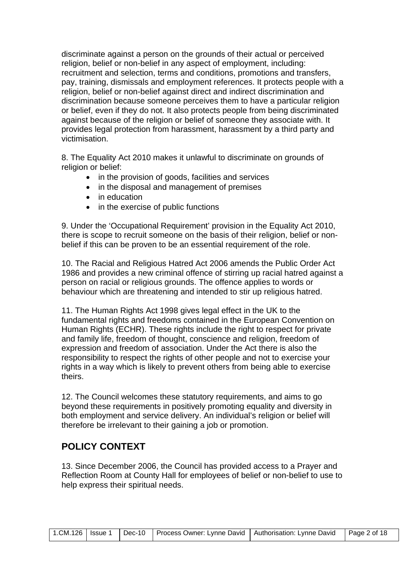discriminate against a person on the grounds of their actual or perceived religion, belief or non-belief in any aspect of employment, including: recruitment and selection, terms and conditions, promotions and transfers, pay, training, dismissals and employment references. It protects people with a religion, belief or non-belief against direct and indirect discrimination and discrimination because someone perceives them to have a particular religion or belief, even if they do not. It also protects people from being discriminated against because of the religion or belief of someone they associate with. It provides legal protection from harassment, harassment by a third party and victimisation.

8. The Equality Act 2010 makes it unlawful to discriminate on grounds of religion or belief:

- in the provision of goods, facilities and services
- in the disposal and management of premises
- in education
- in the exercise of public functions

9. Under the 'Occupational Requirement' provision in the Equality Act 2010, there is scope to recruit someone on the basis of their religion, belief or nonbelief if this can be proven to be an essential requirement of the role.

10. The Racial and Religious Hatred Act 2006 amends the Public Order Act 1986 and provides a new criminal offence of stirring up racial hatred against a person on racial or religious grounds. The offence applies to words or behaviour which are threatening and intended to stir up religious hatred.

11. The Human Rights Act 1998 gives legal effect in the UK to the fundamental rights and freedoms contained in the European Convention on Human Rights (ECHR). These rights include the right to respect for private and family life, freedom of thought, conscience and religion, freedom of expression and freedom of association. Under the Act there is also the responsibility to respect the rights of other people and not to exercise your rights in a way which is likely to prevent others from being able to exercise theirs.

12. The Council welcomes these statutory requirements, and aims to go beyond these requirements in positively promoting equality and diversity in both employment and service delivery. An individual's religion or belief will therefore be irrelevant to their gaining a job or promotion.

## **POLICY CONTEXT**

13. Since December 2006, the Council has provided access to a Prayer and Reflection Room at County Hall for employees of belief or non-belief to use to help express their spiritual needs.

| 1.CM.126   Issue 1   Dec-10   Process Owner: Lynne David   Authorisation: Lynne David   Page 2 of 18 |  |
|------------------------------------------------------------------------------------------------------|--|
|------------------------------------------------------------------------------------------------------|--|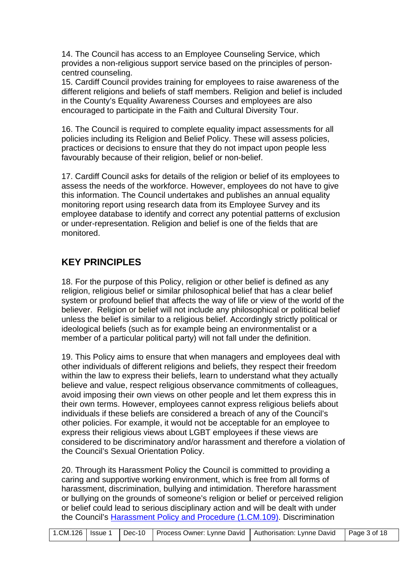14. The Council has access to an Employee Counseling Service, which provides a non-religious support service based on the principles of personcentred counseling.

15. Cardiff Council provides training for employees to raise awareness of the different religions and beliefs of staff members. Religion and belief is included in the County's Equality Awareness Courses and employees are also encouraged to participate in the Faith and Cultural Diversity Tour.

16. The Council is required to complete equality impact assessments for all policies including its Religion and Belief Policy. These will assess policies, practices or decisions to ensure that they do not impact upon people less favourably because of their religion, belief or non-belief.

17. Cardiff Council asks for details of the religion or belief of its employees to assess the needs of the workforce. However, employees do not have to give this information. The Council undertakes and publishes an annual equality monitoring report using research data from its Employee Survey and its employee database to identify and correct any potential patterns of exclusion or under-representation. Religion and belief is one of the fields that are monitored.

## **KEY PRINCIPLES**

18. For the purpose of this Policy, religion or other belief is defined as any religion, religious belief or similar philosophical belief that has a clear belief system or profound belief that affects the way of life or view of the world of the believer. Religion or belief will not include any philosophical or political belief unless the belief is similar to a religious belief. Accordingly strictly political or ideological beliefs (such as for example being an environmentalist or a member of a particular political party) will not fall under the definition.

19. This Policy aims to ensure that when managers and employees deal with other individuals of different religions and beliefs, they respect their freedom within the law to express their beliefs, learn to understand what they actually believe and value, respect religious observance commitments of colleagues, avoid imposing their own views on other people and let them express this in their own terms. However, employees cannot express religious beliefs about individuals if these beliefs are considered a breach of any of the Council's other policies. For example, it would not be acceptable for an employee to express their religious views about LGBT employees if these views are considered to be discriminatory and/or harassment and therefore a violation of the Council's Sexual Orientation Policy.

20. Through its Harassment Policy the Council is committed to providing a caring and supportive working environment, which is free from all forms of harassment, discrimination, bullying and intimidation. Therefore harassment or bullying on the grounds of someone's religion or belief or perceived religion or belief could lead to serious disciplinary action and will be dealt with under the Council's Harassment Policy and Procedure (1.CM.109). Discrimination

| 1.CM.126   Issue 1   Dec-10   Process Owner: Lynne David   Authorisation: Lynne David   Page 3 of 18 |  |  |  |  |  |  |
|------------------------------------------------------------------------------------------------------|--|--|--|--|--|--|
|------------------------------------------------------------------------------------------------------|--|--|--|--|--|--|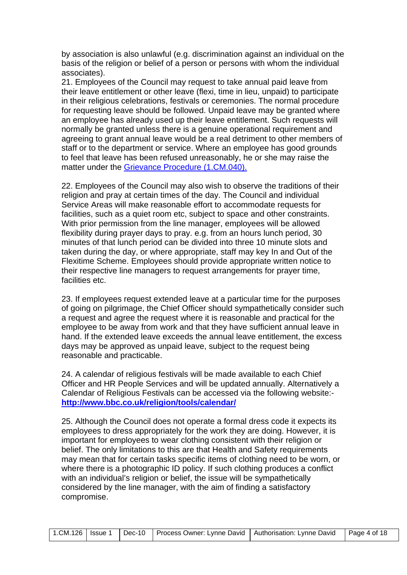by association is also unlawful (e.g. discrimination against an individual on the basis of the religion or belief of a person or persons with whom the individual associates).

21. Employees of the Council may request to take annual paid leave from their leave entitlement or other leave (flexi, time in lieu, unpaid) to participate in their religious celebrations, festivals or ceremonies. The normal procedure for requesting leave should be followed. Unpaid leave may be granted where an employee has already used up their leave entitlement. Such requests will normally be granted unless there is a genuine operational requirement and agreeing to grant annual leave would be a real detriment to other members of staff or to the department or service. Where an employee has good grounds to feel that leave has been refused unreasonably, he or she may raise the matter under the Grievance Procedure (1.CM.040).

22. Employees of the Council may also wish to observe the traditions of their religion and pray at certain times of the day. The Council and individual Service Areas will make reasonable effort to accommodate requests for facilities, such as a quiet room etc, subject to space and other constraints. With prior permission from the line manager, employees will be allowed flexibility during prayer days to pray. e.g. from an hours lunch period, 30 minutes of that lunch period can be divided into three 10 minute slots and taken during the day, or where appropriate, staff may key In and Out of the Flexitime Scheme. Employees should provide appropriate written notice to their respective line managers to request arrangements for prayer time, facilities etc.

23. If employees request extended leave at a particular time for the purposes of going on pilgrimage, the Chief Officer should sympathetically consider such a request and agree the request where it is reasonable and practical for the employee to be away from work and that they have sufficient annual leave in hand. If the extended leave exceeds the annual leave entitlement, the excess days may be approved as unpaid leave, subject to the request being reasonable and practicable.

24. A calendar of religious festivals will be made available to each Chief Officer and HR People Services and will be updated annually. Alternatively a Calendar of Religious Festivals can be accessed via the following website: **<http://www.bbc.co.uk/religion/tools/calendar/>**

25. Although the Council does not operate a formal dress code it expects its employees to dress appropriately for the work they are doing. However, it is important for employees to wear clothing consistent with their religion or belief. The only limitations to this are that Health and Safety requirements may mean that for certain tasks specific items of clothing need to be worn, or where there is a photographic ID policy. If such clothing produces a conflict with an individual's religion or belief, the issue will be sympathetically considered by the line manager, with the aim of finding a satisfactory compromise.

|--|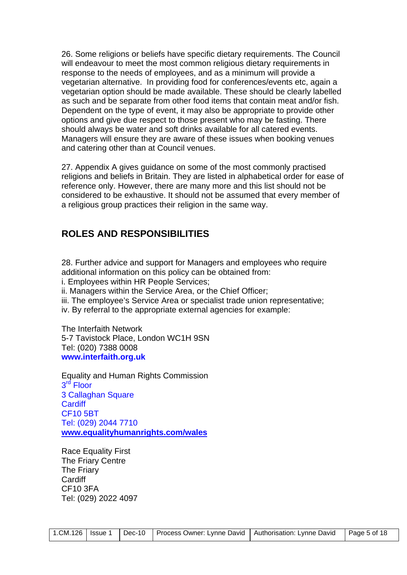26. Some religions or beliefs have specific dietary requirements. The Council will endeavour to meet the most common religious dietary requirements in response to the needs of employees, and as a minimum will provide a vegetarian alternative. In providing food for conferences/events etc, again a vegetarian option should be made available. These should be clearly labelled as such and be separate from other food items that contain meat and/or fish. Dependent on the type of event, it may also be appropriate to provide other options and give due respect to those present who may be fasting. There should always be water and soft drinks available for all catered events. Managers will ensure they are aware of these issues when booking venues and catering other than at Council venues.

27. Appendix A gives guidance on some of the most commonly practised religions and beliefs in Britain. They are listed in alphabetical order for ease of reference only. However, there are many more and this list should not be considered to be exhaustive. It should not be assumed that every member of a religious group practices their religion in the same way.

## **ROLES AND RESPONSIBILITIES**

28. Further advice and support for Managers and employees who require additional information on this policy can be obtained from:

i. Employees within HR People Services;

ii. Managers within the Service Area, or the Chief Officer;

iii. The employee's Service Area or specialist trade union representative;

iv. By referral to the appropriate external agencies for example:

The Interfaith Network 5-7 Tavistock Place, London WC1H 9SN Tel: (020) 7388 0008 **www.interfaith.org.uk** 

Equality and Human Rights Commission 3<sup>rd</sup> Floor 3 Callaghan Square **Cardiff** CF10 5BT Tel: (029) 2044 7710 **[www.equalityhumanrights.com/wales](http://www.equalityhumanrights.com/wales)**

Race Equality First The Friary Centre The Friary Cardiff CF10 3FA Tel: (029) 2022 4097

|  |  |  | 1.CM.126   Issue 1   Dec-10   Process Owner: Lynne David   Authorisation: Lynne David   Page 5 of 18 |  |  |
|--|--|--|------------------------------------------------------------------------------------------------------|--|--|
|--|--|--|------------------------------------------------------------------------------------------------------|--|--|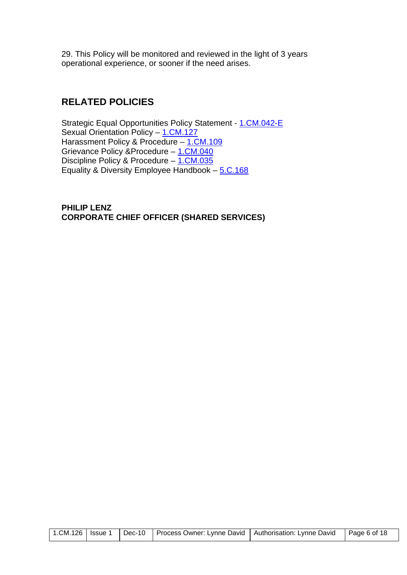29. This Policy will be monitored and reviewed in the light of 3 years operational experience, or sooner if the need arises.

## **RELATED POLICIES**

Strategic Equal Opportunities Policy Statement - 1.CM.042-E Sexual Orientation Policy - 1.CM.127 Harassment Policy & Procedure - 1.CM.109 Grievance Policy & Procedure – 1.CM.040 Discipline Policy & Procedure – 1.CM.035 Equality & Diversity Employee Handbook – 5.C.168

## **PHILIP LENZ CORPORATE CHIEF OFFICER (SHARED SERVICES)**

|  |  | 1.CM.126   Issue 1   Dec-10   Process Owner: Lynne David   Authorisation: Lynne David   Page 6 of 18 |  |  |
|--|--|------------------------------------------------------------------------------------------------------|--|--|
|--|--|------------------------------------------------------------------------------------------------------|--|--|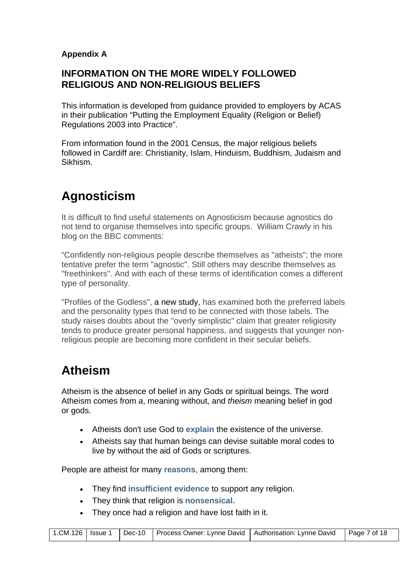## **Appendix A**

## **INFORMATION ON THE MORE WIDELY FOLLOWED RELIGIOUS AND NON-RELIGIOUS BELIEFS**

This information is developed from guidance provided to employers by ACAS in their publication "Putting the Employment Equality (Religion or Belief) Regulations 2003 into Practice".

From information found in the 2001 Census, the major religious beliefs followed in Cardiff are: Christianity, Islam, Hinduism, Buddhism, Judaism and Sikhism.

# **Agnosticism**

It is difficult to find useful statements on Agnosticism because agnostics do not tend to organise themselves into specific groups. William Crawly in his blog on the BBC comments:

"Confidently non-religious people describe themselves as "atheists"; the more tentative prefer the term "agnostic". Still others may describe themselves as "freethinkers". And with each of these terms of identification comes a different type of personality.

"Profiles of the Godless", [a new study,](http://www.centerforinquiry.net/uploads/attachments/Profiles_of_the_Godless_FI_AugSept_Vol_29_No_5_pps_41-45.pdf) has examined both the preferred labels and the personality types that tend to be connected with those labels. The study raises doubts about the "overly simplistic" claim that greater religiosity tends to produce greater personal happiness, and suggests that younger nonreligious people are becoming more confident in their secular beliefs.

## **Atheism**

Atheism is the absence of belief in any Gods or spiritual beings. The word Atheism comes from *a*, meaning without, and *theism* meaning belief in god or gods.

- Atheists don't use God to **[explain](http://www.bbc.co.uk/religion/religions/atheism/beliefs/reasons_6.shtml)** the existence of the universe.
- Atheists say that human beings can devise suitable moral codes to live by without the aid of Gods or scriptures.

People are atheist for many **[reasons](http://www.bbc.co.uk/religion/religions/atheism/beliefs/reasons_1.shtml)**, among them:

- They find **[insufficient evidence](http://www.bbc.co.uk/religion/religions/atheism/beliefs/reasons_2.shtml)** to support any religion.
- They think that religion is **[nonsensical.](http://www.bbc.co.uk/religion/religions/atheism/beliefs/reasons_7.shtml)**
- They once had a religion and have lost faith in it.

|  | 1.CM.126   Issue 1   Dec-10   Process Owner: Lynne David   Authorisation: Lynne David   Page 7 of 18 |  |
|--|------------------------------------------------------------------------------------------------------|--|
|  |                                                                                                      |  |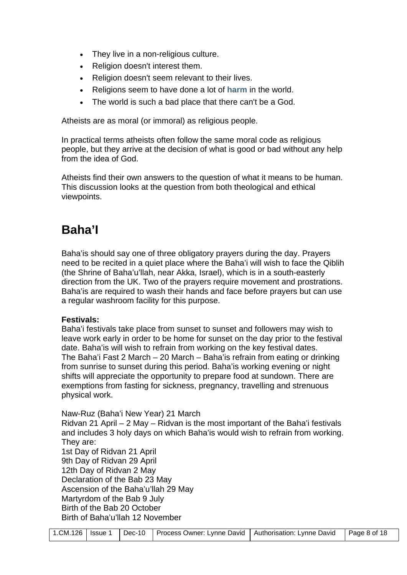- They live in a non-religious culture.
- Religion doesn't interest them.
- Religion doesn't seem relevant to their lives.
- Religions seem to have done a lot of **[harm](http://www.bbc.co.uk/religion/religions/atheism/beliefs/reasons_5.shtml)** in the world.
- The world is such a bad place that there can't be a God.

Atheists are as moral (or immoral) as religious people.

In practical terms atheists often follow the same moral code as religious people, but they arrive at the decision of what is good or bad without any help from the idea of God.

Atheists find their own answers to the question of what it means to be human. This discussion looks at the question from both theological and ethical viewpoints.

# **Baha'I**

Baha'is should say one of three obligatory prayers during the day. Prayers need to be recited in a quiet place where the Baha'i will wish to face the Qiblih (the Shrine of Baha'u'llah, near Akka, Israel), which is in a south-easterly direction from the UK. Two of the prayers require movement and prostrations. Baha'is are required to wash their hands and face before prayers but can use a regular washroom facility for this purpose.

## **Festivals:**

Baha'i festivals take place from sunset to sunset and followers may wish to leave work early in order to be home for sunset on the day prior to the festival date. Baha'is will wish to refrain from working on the key festival dates. The Baha'i Fast 2 March – 20 March – Baha'is refrain from eating or drinking from sunrise to sunset during this period. Baha'is working evening or night shifts will appreciate the opportunity to prepare food at sundown. There are exemptions from fasting for sickness, pregnancy, travelling and strenuous physical work.

Naw-Ruz (Baha'i New Year) 21 March

Ridvan 21 April – 2 May – Ridvan is the most important of the Baha'i festivals and includes 3 holy days on which Baha'is would wish to refrain from working. They are:

1st Day of Ridvan 21 April 9th Day of Ridvan 29 April 12th Day of Ridvan 2 May Declaration of the Bab 23 May Ascension of the Baha'u'llah 29 May Martyrdom of the Bab 9 July Birth of the Bab 20 October Birth of Baha'u'llah 12 November

|  |  |  | 1.CM.126   Issue 1   Dec-10   Process Owner: Lynne David   Authorisation: Lynne David   Page 8 of 18 |  |  |
|--|--|--|------------------------------------------------------------------------------------------------------|--|--|
|--|--|--|------------------------------------------------------------------------------------------------------|--|--|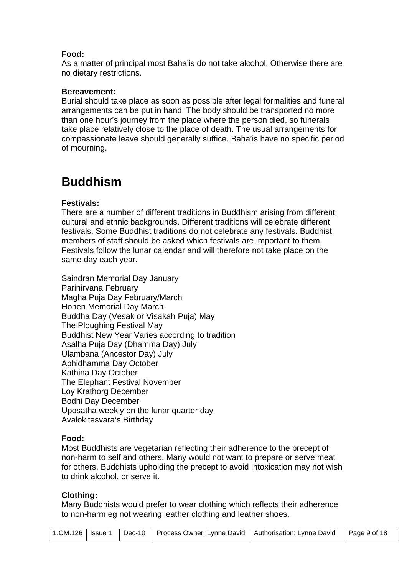## **Food:**

As a matter of principal most Baha'is do not take alcohol. Otherwise there are no dietary restrictions.

## **Bereavement:**

Burial should take place as soon as possible after legal formalities and funeral arrangements can be put in hand. The body should be transported no more than one hour's journey from the place where the person died, so funerals take place relatively close to the place of death. The usual arrangements for compassionate leave should generally suffice. Baha'is have no specific period of mourning.

# **Buddhism**

## **Festivals:**

There are a number of different traditions in Buddhism arising from different cultural and ethnic backgrounds. Different traditions will celebrate different festivals. Some Buddhist traditions do not celebrate any festivals. Buddhist members of staff should be asked which festivals are important to them. Festivals follow the lunar calendar and will therefore not take place on the same day each year.

Saindran Memorial Day January Parinirvana February Magha Puja Day February/March Honen Memorial Day March Buddha Day (Vesak or Visakah Puja) May The Ploughing Festival May Buddhist New Year Varies according to tradition Asalha Puja Day (Dhamma Day) July Ulambana (Ancestor Day) July Abhidhamma Day October Kathina Day October The Elephant Festival November Loy Krathorg December Bodhi Day December Uposatha weekly on the lunar quarter day Avalokitesvara's Birthday

## **Food:**

Most Buddhists are vegetarian reflecting their adherence to the precept of non-harm to self and others. Many would not want to prepare or serve meat for others. Buddhists upholding the precept to avoid intoxication may not wish to drink alcohol, or serve it.

## **Clothing:**

Many Buddhists would prefer to wear clothing which reflects their adherence to non-harm eg not wearing leather clothing and leather shoes.

|  |  |  | 1.CM.126   Issue 1   Dec-10   Process Owner: Lynne David   Authorisation: Lynne David   Page 9 of 18 |  |  |
|--|--|--|------------------------------------------------------------------------------------------------------|--|--|
|--|--|--|------------------------------------------------------------------------------------------------------|--|--|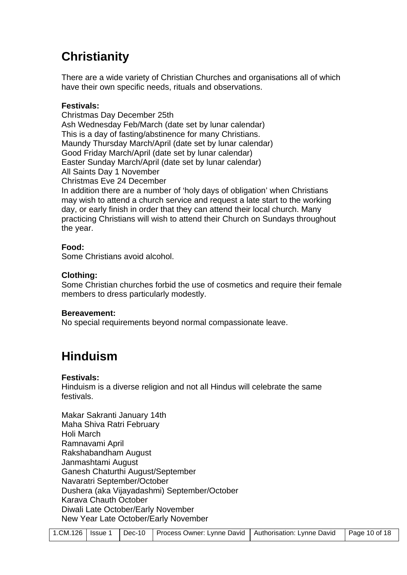# **Christianity**

There are a wide variety of Christian Churches and organisations all of which have their own specific needs, rituals and observations.

## **Festivals:**

Christmas Day December 25th Ash Wednesday Feb/March (date set by lunar calendar) This is a day of fasting/abstinence for many Christians. Maundy Thursday March/April (date set by lunar calendar) Good Friday March/April (date set by lunar calendar) Easter Sunday March/April (date set by lunar calendar) All Saints Day 1 November Christmas Eve 24 December In addition there are a number of 'holy days of obligation' when Christians may wish to attend a church service and request a late start to the working day, or early finish in order that they can attend their local church. Many practicing Christians will wish to attend their Church on Sundays throughout the year.

## **Food:**

Some Christians avoid alcohol.

## **Clothing:**

Some Christian churches forbid the use of cosmetics and require their female members to dress particularly modestly.

## **Bereavement:**

No special requirements beyond normal compassionate leave.

# **Hinduism**

## **Festivals:**

Hinduism is a diverse religion and not all Hindus will celebrate the same festivals.

Makar Sakranti January 14th Maha Shiva Ratri February Holi March Ramnavami April Rakshabandham August Janmashtami August Ganesh Chaturthi August/September Navaratri September/October Dushera (aka Vijayadashmi) September/October Karava Chauth October Diwali Late October/Early November New Year Late October/Early November

|  |  |  | 1.CM.126   Issue 1   Dec-10   Process Owner: Lynne David   Authorisation: Lynne David   Page 10 of 18 |  |  |
|--|--|--|-------------------------------------------------------------------------------------------------------|--|--|
|--|--|--|-------------------------------------------------------------------------------------------------------|--|--|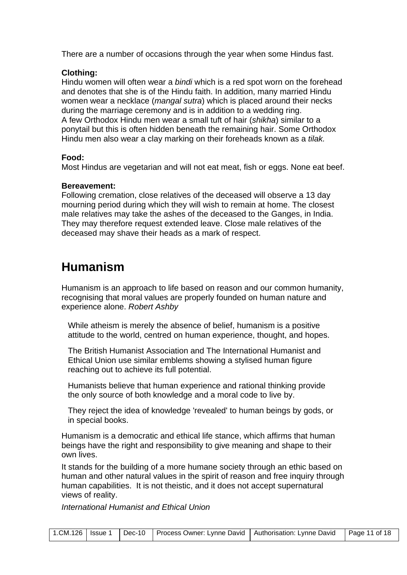There are a number of occasions through the year when some Hindus fast.

#### **Clothing:**

Hindu women will often wear a *bindi* which is a red spot worn on the forehead and denotes that she is of the Hindu faith. In addition, many married Hindu women wear a necklace (*mangal sutra*) which is placed around their necks during the marriage ceremony and is in addition to a wedding ring. A few Orthodox Hindu men wear a small tuft of hair (*shikha*) similar to a ponytail but this is often hidden beneath the remaining hair. Some Orthodox Hindu men also wear a clay marking on their foreheads known as a *tilak.*

#### **Food:**

Most Hindus are vegetarian and will not eat meat, fish or eggs. None eat beef.

#### **Bereavement:**

Following cremation, close relatives of the deceased will observe a 13 day mourning period during which they will wish to remain at home. The closest male relatives may take the ashes of the deceased to the Ganges, in India. They may therefore request extended leave. Close male relatives of the deceased may shave their heads as a mark of respect.

## **Humanism**

Humanism is an approach to life based on reason and our common humanity, recognising that moral values are properly founded on human nature and experience alone. *Robert Ashby* 

While atheism is merely the absence of belief, humanism is a positive attitude to the world, centred on human experience, thought, and hopes.

The British Humanist Association and The International Humanist and Ethical Union use similar emblems showing a stylised human figure reaching out to achieve its full potential.

Humanists believe that human experience and rational thinking provide the only source of both knowledge and a moral code to live by.

They reject the idea of knowledge 'revealed' to human beings by gods, or in special books.

Humanism is a democratic and ethical life stance, which affirms that human beings have the right and responsibility to give meaning and shape to their own lives.

It stands for the building of a more humane society through an ethic based on human and other natural values in the spirit of reason and free inquiry through human capabilities. It is not theistic, and it does not accept supernatural views of reality.

*International Humanist and Ethical Union* 

| 1.CM.126   Issue 1   Dec-10   Process Owner: Lynne David   Authorisation: Lynne David   Page 11 of 18 |
|-------------------------------------------------------------------------------------------------------|
|-------------------------------------------------------------------------------------------------------|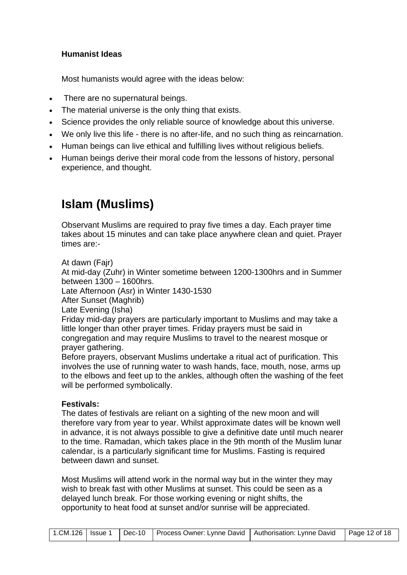## **Humanist Ideas**

Most humanists would agree with the ideas below:

- There are no supernatural beings.
- The material universe is the only thing that exists.
- Science provides the only reliable source of knowledge about this universe.
- We only live this life there is no after-life, and no such thing as reincarnation.
- Human beings can live ethical and fulfilling lives without religious beliefs.
- Human beings derive their moral code from the lessons of history, personal experience, and thought.

# **Islam (Muslims)**

Observant Muslims are required to pray five times a day. Each prayer time takes about 15 minutes and can take place anywhere clean and quiet. Prayer times are:-

At dawn (Fajr)

At mid-day (Zuhr) in Winter sometime between 1200-1300hrs and in Summer between 1300 – 1600hrs.

Late Afternoon (Asr) in Winter 1430-1530

After Sunset (Maghrib)

Late Evening (Isha)

Friday mid-day prayers are particularly important to Muslims and may take a little longer than other prayer times. Friday prayers must be said in congregation and may require Muslims to travel to the nearest mosque or prayer gathering.

Before prayers, observant Muslims undertake a ritual act of purification. This involves the use of running water to wash hands, face, mouth, nose, arms up to the elbows and feet up to the ankles, although often the washing of the feet will be performed symbolically.

## **Festivals:**

The dates of festivals are reliant on a sighting of the new moon and will therefore vary from year to year. Whilst approximate dates will be known well in advance, it is not always possible to give a definitive date until much nearer to the time. Ramadan, which takes place in the 9th month of the Muslim lunar calendar, is a particularly significant time for Muslims. Fasting is required between dawn and sunset.

Most Muslims will attend work in the normal way but in the winter they may wish to break fast with other Muslims at sunset. This could be seen as a delayed lunch break. For those working evening or night shifts, the opportunity to heat food at sunset and/or sunrise will be appreciated.

| 1.CM.126   Issue 1   Dec-10   Process Owner: Lynne David   Authorisation: Lynne David   Page 12 of 18 |  |  |  |  |  |  |
|-------------------------------------------------------------------------------------------------------|--|--|--|--|--|--|
|-------------------------------------------------------------------------------------------------------|--|--|--|--|--|--|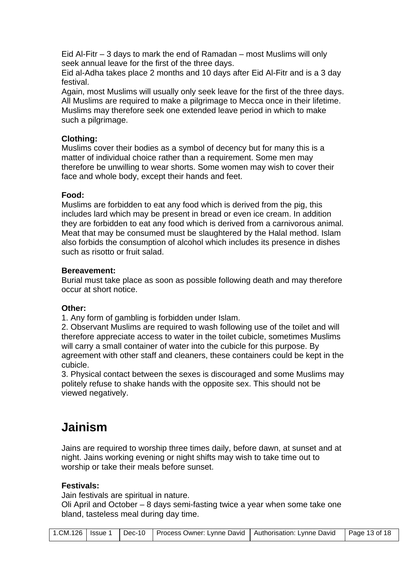Eid Al-Fitr – 3 days to mark the end of Ramadan – most Muslims will only seek annual leave for the first of the three days.

Eid al-Adha takes place 2 months and 10 days after Eid Al-Fitr and is a 3 day festival.

Again, most Muslims will usually only seek leave for the first of the three days. All Muslims are required to make a pilgrimage to Mecca once in their lifetime. Muslims may therefore seek one extended leave period in which to make such a pilgrimage.

## **Clothing:**

Muslims cover their bodies as a symbol of decency but for many this is a matter of individual choice rather than a requirement. Some men may therefore be unwilling to wear shorts. Some women may wish to cover their face and whole body, except their hands and feet.

## **Food:**

Muslims are forbidden to eat any food which is derived from the pig, this includes lard which may be present in bread or even ice cream. In addition they are forbidden to eat any food which is derived from a carnivorous animal. Meat that may be consumed must be slaughtered by the Halal method. Islam also forbids the consumption of alcohol which includes its presence in dishes such as risotto or fruit salad.

## **Bereavement:**

Burial must take place as soon as possible following death and may therefore occur at short notice.

## **Other:**

1. Any form of gambling is forbidden under Islam.

2. Observant Muslims are required to wash following use of the toilet and will therefore appreciate access to water in the toilet cubicle, sometimes Muslims will carry a small container of water into the cubicle for this purpose. By agreement with other staff and cleaners, these containers could be kept in the cubicle.

3. Physical contact between the sexes is discouraged and some Muslims may politely refuse to shake hands with the opposite sex. This should not be viewed negatively.

# **Jainism**

Jains are required to worship three times daily, before dawn, at sunset and at night. Jains working evening or night shifts may wish to take time out to worship or take their meals before sunset.

## **Festivals:**

Jain festivals are spiritual in nature.

Oli April and October – 8 days semi-fasting twice a year when some take one bland, tasteless meal during day time.

|  | 1.CM.126   Issue 1   Dec-10   Process Owner: Lynne David   Authorisation: Lynne David   Page 13 of 18 |  |
|--|-------------------------------------------------------------------------------------------------------|--|
|  |                                                                                                       |  |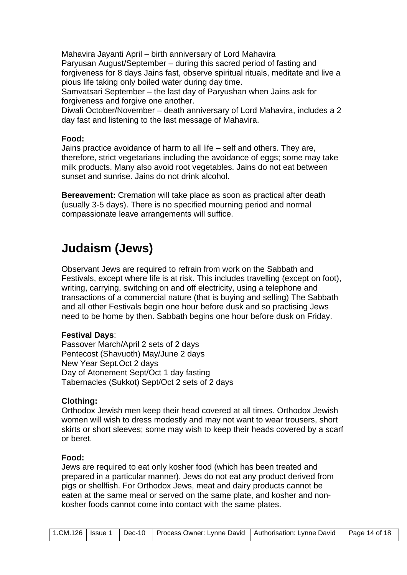Mahavira Jayanti April – birth anniversary of Lord Mahavira Paryusan August/September – during this sacred period of fasting and forgiveness for 8 days Jains fast, observe spiritual rituals, meditate and live a pious life taking only boiled water during day time. Samvatsari September – the last day of Paryushan when Jains ask for

forgiveness and forgive one another.

Diwali October/November – death anniversary of Lord Mahavira, includes a 2 day fast and listening to the last message of Mahavira.

## **Food:**

Jains practice avoidance of harm to all life – self and others. They are, therefore, strict vegetarians including the avoidance of eggs; some may take milk products. Many also avoid root vegetables. Jains do not eat between sunset and sunrise. Jains do not drink alcohol.

**Bereavement:** Cremation will take place as soon as practical after death (usually 3-5 days). There is no specified mourning period and normal compassionate leave arrangements will suffice.

# **Judaism (Jews)**

Observant Jews are required to refrain from work on the Sabbath and Festivals, except where life is at risk. This includes travelling (except on foot), writing, carrying, switching on and off electricity, using a telephone and transactions of a commercial nature (that is buying and selling) The Sabbath and all other Festivals begin one hour before dusk and so practising Jews need to be home by then. Sabbath begins one hour before dusk on Friday.

## **Festival Days**:

Passover March/April 2 sets of 2 days Pentecost (Shavuoth) May/June 2 days New Year Sept.Oct 2 days Day of Atonement Sept/Oct 1 day fasting Tabernacles (Sukkot) Sept/Oct 2 sets of 2 days

## **Clothing:**

Orthodox Jewish men keep their head covered at all times. Orthodox Jewish women will wish to dress modestly and may not want to wear trousers, short skirts or short sleeves; some may wish to keep their heads covered by a scarf or beret.

## **Food:**

Jews are required to eat only kosher food (which has been treated and prepared in a particular manner). Jews do not eat any product derived from pigs or shellfish. For Orthodox Jews, meat and dairy products cannot be eaten at the same meal or served on the same plate, and kosher and nonkosher foods cannot come into contact with the same plates.

| 1.CM.126   Issue 1   Dec-10   Process Owner: Lynne David   Authorisation: Lynne David   Page 14 of 18 |  |
|-------------------------------------------------------------------------------------------------------|--|
|-------------------------------------------------------------------------------------------------------|--|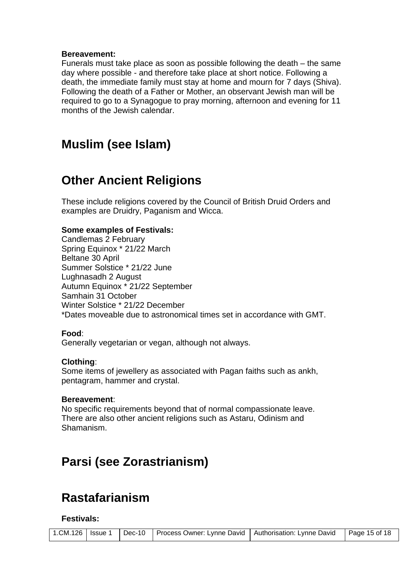#### **Bereavement:**

Funerals must take place as soon as possible following the death – the same day where possible - and therefore take place at short notice. Following a death, the immediate family must stay at home and mourn for 7 days (Shiva). Following the death of a Father or Mother, an observant Jewish man will be required to go to a Synagogue to pray morning, afternoon and evening for 11 months of the Jewish calendar.

## **Muslim (see Islam)**

## **Other Ancient Religions**

These include religions covered by the Council of British Druid Orders and examples are Druidry, Paganism and Wicca.

## **Some examples of Festivals:**

Candlemas 2 February Spring Equinox \* 21/22 March Beltane 30 April Summer Solstice \* 21/22 June Lughnasadh 2 August Autumn Equinox \* 21/22 September Samhain 31 October Winter Solstice \* 21/22 December \*Dates moveable due to astronomical times set in accordance with GMT.

## **Food**:

Generally vegetarian or vegan, although not always.

#### **Clothing**:

Some items of jewellery as associated with Pagan faiths such as ankh, pentagram, hammer and crystal.

#### **Bereavement**:

No specific requirements beyond that of normal compassionate leave. There are also other ancient religions such as Astaru, Odinism and Shamanism.

## **Parsi (see Zorastrianism)**

## **Rastafarianism**

#### **Festivals:**

|  |  |  | 1.CM.126   Issue 1   Dec-10   Process Owner: Lynne David   Authorisation: Lynne David   Page 15 of 18 |  |  |
|--|--|--|-------------------------------------------------------------------------------------------------------|--|--|
|--|--|--|-------------------------------------------------------------------------------------------------------|--|--|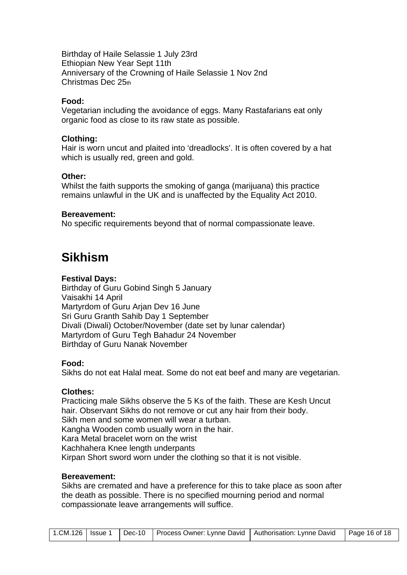Birthday of Haile Selassie 1 July 23rd Ethiopian New Year Sept 11th Anniversary of the Crowning of Haile Selassie 1 Nov 2nd Christmas Dec 25th

#### **Food:**

Vegetarian including the avoidance of eggs. Many Rastafarians eat only organic food as close to its raw state as possible.

#### **Clothing:**

Hair is worn uncut and plaited into 'dreadlocks'. It is often covered by a hat which is usually red, green and gold.

#### **Other:**

Whilst the faith supports the smoking of ganga (marijuana) this practice remains unlawful in the UK and is unaffected by the Equality Act 2010.

#### **Bereavement:**

No specific requirements beyond that of normal compassionate leave.

# **Sikhism**

## **Festival Days:**

Birthday of Guru Gobind Singh 5 January Vaisakhi 14 April Martyrdom of Guru Arjan Dev 16 June Sri Guru Granth Sahib Day 1 September Divali (Diwali) October/November (date set by lunar calendar) Martyrdom of Guru Tegh Bahadur 24 November Birthday of Guru Nanak November

## **Food:**

Sikhs do not eat Halal meat. Some do not eat beef and many are vegetarian.

## **Clothes:**

Practicing male Sikhs observe the 5 Ks of the faith. These are Kesh Uncut hair. Observant Sikhs do not remove or cut any hair from their body. Sikh men and some women will wear a turban. Kangha Wooden comb usually worn in the hair. Kara Metal bracelet worn on the wrist Kachhahera Knee length underpants Kirpan Short sword worn under the clothing so that it is not visible.

## **Bereavement:**

Sikhs are cremated and have a preference for this to take place as soon after the death as possible. There is no specified mourning period and normal compassionate leave arrangements will suffice.

|  |  |  | 1.CM.126   Issue 1   Dec-10   Process Owner: Lynne David   Authorisation: Lynne David   Page 16 of 18 |  |  |
|--|--|--|-------------------------------------------------------------------------------------------------------|--|--|
|--|--|--|-------------------------------------------------------------------------------------------------------|--|--|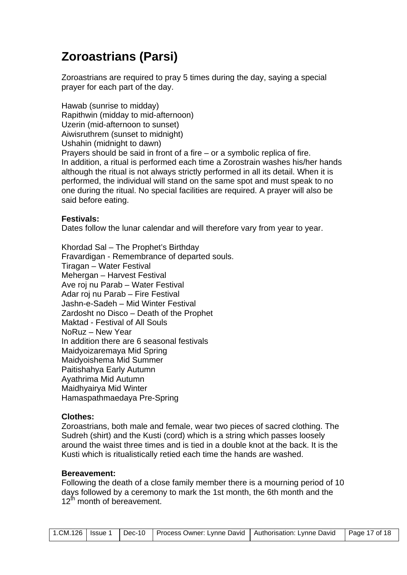# **Zoroastrians (Parsi)**

Zoroastrians are required to pray 5 times during the day, saying a special prayer for each part of the day.

Hawab (sunrise to midday) Rapithwin (midday to mid-afternoon) Uzerin (mid-afternoon to sunset) Aiwisruthrem (sunset to midnight) Ushahin (midnight to dawn) Prayers should be said in front of a fire – or a symbolic replica of fire. In addition, a ritual is performed each time a Zorostrain washes his/her hands although the ritual is not always strictly performed in all its detail. When it is performed, the individual will stand on the same spot and must speak to no one during the ritual. No special facilities are required. A prayer will also be said before eating.

#### **Festivals:**

Dates follow the lunar calendar and will therefore vary from year to year.

Khordad Sal – The Prophet's Birthday Fravardigan - Remembrance of departed souls. Tiragan – Water Festival Mehergan – Harvest Festival Ave roj nu Parab – Water Festival Adar roj nu Parab – Fire Festival Jashn-e-Sadeh – Mid Winter Festival Zardosht no Disco – Death of the Prophet Maktad - Festival of All Souls NoRuz – New Year In addition there are 6 seasonal festivals Maidyoizaremaya Mid Spring Maidyoishema Mid Summer Paitishahya Early Autumn Ayathrima Mid Autumn Maidhyairya Mid Winter Hamaspathmaedaya Pre-Spring

## **Clothes:**

Zoroastrians, both male and female, wear two pieces of sacred clothing. The Sudreh (shirt) and the Kusti (cord) which is a string which passes loosely around the waist three times and is tied in a double knot at the back. It is the Kusti which is ritualistically retied each time the hands are washed.

#### **Bereavement:**

Following the death of a close family member there is a mourning period of 10 days followed by a ceremony to mark the 1st month, the 6th month and the  $12^{th}$  month of bereavement.

|  |  |  | 1.CM.126   Issue 1   Dec-10   Process Owner: Lynne David   Authorisation: Lynne David   Page 17 of 18 |  |  |
|--|--|--|-------------------------------------------------------------------------------------------------------|--|--|
|--|--|--|-------------------------------------------------------------------------------------------------------|--|--|